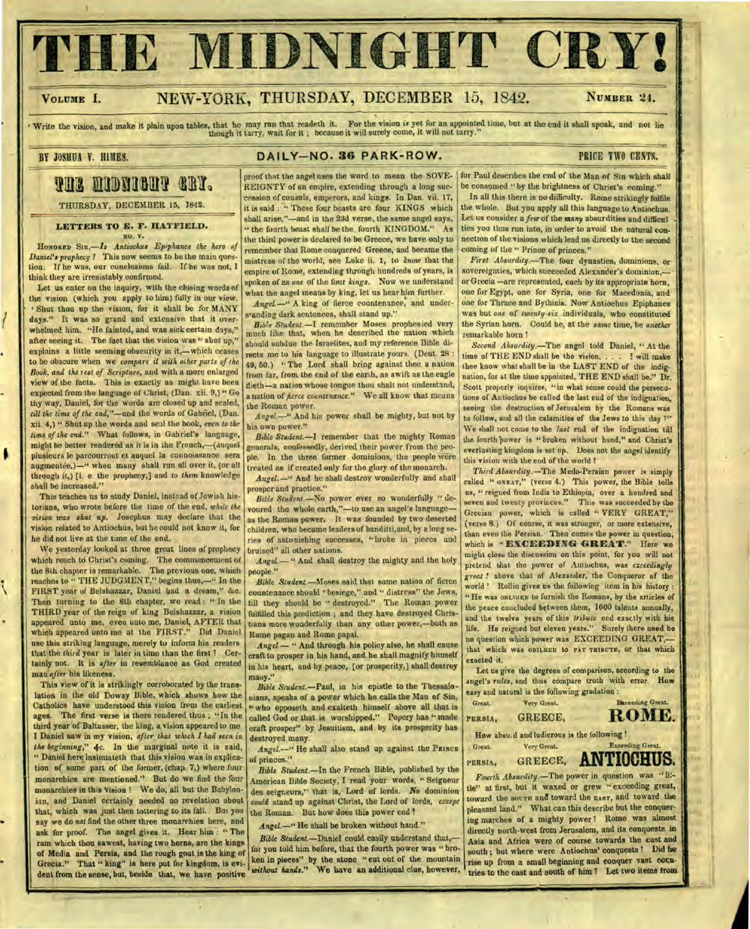# **THE MIDNIGHT CRY!**

٨

## **VOLUME 1.** NEW-YORK, THURSDAY, DECEMBER 15, 1842. **NUMBER** 24.

Write the vision, and make it plain upon tables, that he may run that readeth it. For the vision *is* yet for an appointed time, but at the end it shall speak, and not lie though it tarry, wait for it ; because it will surely come, it will not tarry."

## BY JOSHUA Y. HIMES. **DAILY-NO. 36 PARK-ROW.** PRICE TWO CENTS.

# **121lalID0312111111**

THURSDAY, DECEMBER 15, **1842.** 

**LETTERS TO E. F. HATFIELD.**  NO. V.

HONORED *Antiochus Epiphanes the hero of Daniel's prophecy ?* This now seems to be the main question. If he was, our conclusions fail. If he was not, I think they are irresistably confirmed.

Let us enter on the inquiry, with the closing words of the vision (which you apply to him) fully in our view. Shut thou up the vision, for it shall be for MANY days." It was so grand and extensive that it overwhelmed him. "He fainted, and was sick certain days," after seeing it. The fact that the vision was " shut up," explains a little seeming obscurity in it,—which ceases **to** be obscure when we *compare it with other parts of the Book, and the test of Scripture,* and with a more enlarged view of the facts. **'1** his is exactly as might have been expected from the language of Christ, (Dan. xii. 9,) " Go thy way, Daniel, for the words are closed up and sealed, *till the time of the end,"—and* the words of Gabfiel, (Dan. xii. 4,) " Shut up the words and seal the hook, *even to the time of the* end." What follows, in Gabriel's language, might be better rendered as it is in the French,—(auquel plusieurs le parcourrout et auquel la connoissance sera augmentee,)—" when many shall run all over it, (or all through it,) [i. e. the prophecy,] and *to them* knowledge shall be increased."

This teaches us to study Daniel, instead of Jewish historians, who wrote before the time of the end, *while the vision was shut up.* Josephus may declare that the vision related to Antiochus, but he could not know it, for he did not live at the time of the end.

We yesterday looked at three great lines of prophecy which reach to Christ's coming. The commencement of the 8th chapter is remarkable. The previous one, which reaches to " THE JUDGMENT," begins thus,—" In the FIRST year of Belshazzar, Daniel had a dream," &c. Then turning to the 8th chapter, we read : " In the THIRD year of the reign of king Belshazzar, a vision appeared unto me, even unto me, Daniel, AFTER that which appeared unto me at the FIRST." Did Daniel use this striking language, merely to inform his readers that the *third* year is later in time than the first ? Certainly not. It is *after* in resemblance as God created man *after* his likeness.

This view of it is strikingly corroborated by the translation in the old Doway Bible, which shows how the Catholics have understood this vision from the earliest ages. The first verse is there rendered thus ; "In the third year of Baltasser, the king, a vision appeared to me I Daniel saw in my vision, *after that which I had seen in the beginning," 4c.* In the marginal note it is said, " Daniel here insinuateth that this vision was in explication of some part of the former, (chap. 7,) where four monarchies are mentioned." But do we find the four monarchies in this vision ? We do, all but the Babylonian, and Daniel certainly needed no revelation about that, which was just then tottering to its fall. But you say we do not find the other three monarchies here, and ask for proof. The angel gives it. Hear him : " The ram which thou sawest, having two horns, are the kings of Media and Persia, and the rough goat is the king of Grecia." That " king" is here put for kingdom, is evident from the sense, but, beside that, we have positive

REIGNTY of an empire, extending through a long succession of consuls, emperors, and kings. In Dan. vii. 17, it is said : " These four beasts are four KINGS which shall arise."—and in the 23d verse, the same angel says, " the fourth beast shall be the fourth KINGDOM." As the third power is declared to be Greece, we have only to remember that Rome conquered Greece, and became the mistress of the world, see Luke ii. **1,** to *know* that the empire of Rome, extending through hundreds of years, is spoken of as *one* of the four *kings.* Now we understand what the angel means by king, let us hear him further. proof that the angel uses the word to mean the SOVE- for Paul describes the end of the Man of Sin which shall

*Angel.—"* A king of fierce countenance, and understanding dark sentences, shall stand up."

*Bible Student.—I* remember Moses prophesied very much like that, when he described the nation which should subdue the Israelites, and my reference Bible directs me to his language to illustrate yours. (Deut. 28 : 49, 50.) " The Lord shall bring against thee a nation from far, from the end of the earth, as swift as the eagle tlieth—a nation whose tongue thou shalt not understand, a nation of *fierce countenance."* We all know that means the Roman power.

*Angel.--"* And his power shall be mighty, but not by his own power."

*Bible Student.—I* remember that the mighty Roman generals, confessedly, derived their power from the people. In the three former dominions, the people were treated as if created only for the glory of the monarch.

*Angel.—"* And he shall destroy wonderfully and shall prosper and practice."

*Bible Student.—No* power ever so wonderfully " devoured the whole earth,"—to use an angel's language as the Roman power. It was founded by two deserted children, who became leaders of handitti,and, by a long series of astonishing successes, "broke in pieces and bruised" all other nations.

Angel. - " And shall destroy the mighty and the holy people."

*Bible Student.—Moses* said that same nation of fierce countenance should "besiege," and " distress" the Jews, till they should be " destroyed." The Roman power fulfilled this prediction ; and they have destroyed Christians more wonderfully than any other power,—both as Rome pagan and Rome papal.

*Angel — "* And through his policy also, he shall cause craft to prosper in his hand, and he shall magnify himself in his heart, and by peace, [or prosperity,] shall destroy many."

*Bible Student.—Faul,* in his epistle to the Thessalonians, speaks of a power which he calls the Man of Sin, it who opposeth and exalteth himself above all that is called God or that is worshipped." Popery has " made craft prosper" by Jesuitism, and by its prosperity has destroyed many.

Angel.<sup>-</sup>" He shall also stand up against the PRINCE of princes."

*Bible Student.—In* the French Bible, published by the American Bible Society, I read your words, " Seigneur des seigneurs," that is, Lord of lords. *No* dominion *could* stand up against Christ, the Lord of lords, *except*  the Roman. But how does this power end !

*Angel.—"* He shall be broken without hand."

*Bible Student.—Daniel* could easily understand that, for you told him before, that the fourth power was " broken in pieces" by the stone " cut out of the mountain without *hands."* We have an additional clue, however,

be consumed " by the brightness of Christ's coming." In all this there is no difficulty. Rome strikingly fulfils the whole. But you apply all this language to Antiochus. Let us consider a *few* of the many absurdities and difficul

ties you thus run into, in order to avoid the natural connection of the visions which lead us directly to the second coming of the " Prince of princes." *First Absurdity.—The* four dynasties, dominions, or

sovereignties, which succeeded Alexander's dominion,or Grecia —are represented, each by its appropriate horn, one for Egypt, one for Syria, one for Macedonia, and one for Thrace and Bythinia. Now Antiochus Epiphanes was but *one* of *twenty-six* individuals, who constituted the Syrian horn. Could he, at the *same* time, be *another*  remarkable horn ?

*Second Absurdity.—The* angel told Daniel, " At the time of THE END shall be the vision. . . . I will make thee know what shall be in the LAST END of the indignation, for at the time appointed, THE END shall be." Dr. Scott properly inquires, "in what sense could the persecutions of Antiochus be called the last end of the indignation, seeing the destruction of Jerusalem by the Romans was to follow, and all the calamities of the Jews to this day 1" We shall not come to the *last* end of the indignation till the fourth power is "broken without hand," and Christ's everlasting kingdom is set up. Does not the angel identify this vision with the end of the world?

*Third Absurdity..—The* Medo-Persian power is simply called " GREAT," (verse 4.) This power, the Bible tells us, " reigned from India to Ethiopia, over a hundred and seven and twenty provinces." This was succeeded by the Grecian power, which is called " VERY GREAT," (verse 8.) 01 course, it was stronger, or more extensive, than even the Persian. Then comes the power in question, which is " **EXCEEDING GREAT."** here we might close the discussion on this point, for you will not pretend that the power of Antiochus, was *exceedingly great !* above that of Alexander, the Conqueror of the world ! Rollin gives us the following item in his history : "He was ontruge to furnish the Romans, by the articles of the peace concluded between them, 1000 talents annually, and the twelve years of this *tribute* end exactly with his life. He reigned but eleven years." Surely there need be no question which power was EXCEEDING GREAT, that which was OBILGED to PAY TRIBUTE, OF that which exacted it.

Let us give the degrees of comparison, according to the angel's *rules,* and thus compare truth with error. **How**  easy and natural is the following gradation :

**ROME.** 

Great. Very Great. Hanceding Great. PERSIA, GREECE,

How absu,d and ludicrous is the following !

*Fourth Absurdity.—The* power in question was " li: tle" at first, but it waxed or grew " exceeding great, toward the SOUTH and toward the EAST, and toward the pleasant land." What can this describe but the conquering marches of a mighty power! Rome was almost directly north-west from Jerusalem, and its conquests in Asia and Africa were of course towards the east and south ; but where were Antiochus' conquests ? Did he rise up from a small beginning and conquer vast countries to the east and south of him ? Let two items from PERSIA, Great. Very Great. Exceeding Great. GREECE, **ANTIOCHUS.**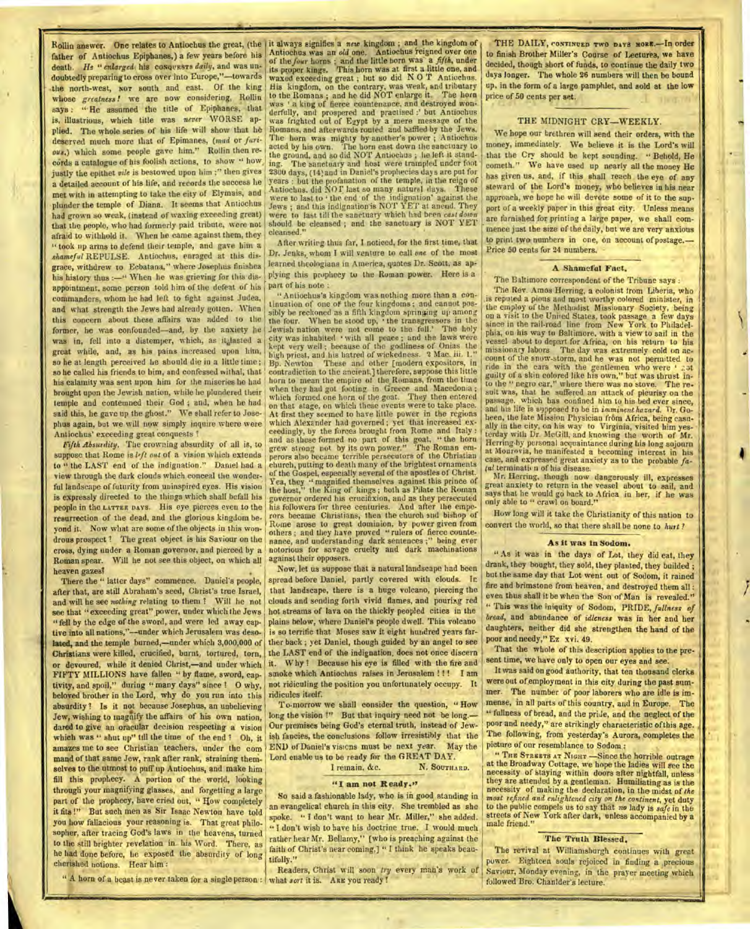father of Antiochus Epiphanes,) a few years before his death. He "enlarged his conquests daily, and was undoubtedly preparing to cross over into Europe,"—towards the north-west, NOT south and east. Of the king whose *greatness !* we are now considering, Rollin says : "He assumed the title of Epiphanes, that is, illustrious, which title was *never* WORSE applied. The whole series of his life will show that he deserved much more that of Epimanes, *(mad* or *furious.) which* some people gave him." Rollin then records a catalogue of his foolish actions, to show " how, justly the epithet *vile* is bestowed upon him ;" then gives a detailed account of his life, and records the success he met with in attempting to take the city of Elymais, and plunder the temple of Diana. It seems that Antiochus had grown so weak, (instead of waxing exceeding great) that the people, who had formerly paid tribute, were not afraid to withhold it. When he came against them, they " took up arms to defend their temple, and gave him *a shameful* REPULSE. Antiochus, enraged at this disgrace, withdrew to Ecbatana," where Josephus finishes his history thus :- " When he was grieving for this disappointment. some person told him of the defeat of his commanders, whom he had left to fight against Judea, and what strength the Jews had already gotten. When this concern about these affairs was added to the former, he was confounded—and, by the anxiety be was in, fell into a distemper, which, as it, hasted a great while, and, as his pains increased upon him, so he at length perceived he should die in a little time; so he called his friends to him, and confessed withal, that his calamity was sent upon him for the miseries he had brought upon the Jewish nation, while he plundered their temple and contemned their God ; and, when he had said this, he gave up the ghost." We shall refer to Josephus again, but we will now simply inquire where were Antiochus' exceeding great conquests ?

*Fifth Absurdity.* The crowning absurdity of all is, to suppose that Rome is *l'ft out* of a vision which extends to " the LAST end of the indignation." Daniel had a view through the dark clouds which conceal the wonderful landscape of futurity from uninspired eyes. His vision is expressly directed to the things which shall befall his people in the LATTER DAYS. His eye pierces even to the resurrection of the dead, and the glorious kingdom beyond it. Now what are some of the objects in this wondrous prospect ? The great object is his Saviour on the cross, dying under a Roman governor, and pierced by a Roman spear. Will he not see this object, on which all heaven gazes!

There the " latter days" commence. Daniel's people, after that, are still Abraham's seed, Christ's true Israel, and will he see *nothing* relating to them ? Will he not see that "exceeding great" power, under which the Jews " fell by the edge of the sword, and were led away captive into all nations,"--under which Jerusalem was desolated, and the temple burned,—under which 3,000,000 of Christians were killed, crucified, burnt, tortured, torn, or devoured, while it denied Christ,—and under which FIFTY MILLIONS have fallen " by flame, sword, captivity, and spoil," during " many days" since ? O why, beloved brother in the Lord, why do you run into this absurdity ! Is it not because Josephus, an unbelieving Jew, wishing to magnify the affairs of his own nation, dared to give an oracular decision respecting a vision which was " shut up" till the time of the end ! Oh, it amazes me to see Christian teachers, under the command of that same Jew, rank after rank, straining themselves to the utmost to puff up Antiochus, and make him fill this prophecy. A portion of the world, looking through your magnifying glasses, and forgetting a large part of the prophecy, have cried out, " How completely it fits !" But such men as Sir Isaac Newton have told you how fallacious your reasoning is. That great philosopher, after tracing God's laws in the heavens, turned to the still brighter revelation in his Word. There, as he had done before, he exposed the absurdity of long cherished notions. Hear him :

" A horn of a beast is never taken for a single person : what *sort* it is. ARE you ready!

Rollin answer. One relates to Antiochus the great, (the it always signifies a *new* kingdom ; and the kingdom of Antiochus was an *old* one. Antiochus reigned over one of the *four* horns ; and the little horn was a *fifth,* under its proper kings. This horn was at. first a little one, and waxed exceeding great ; but so did N 0 T Antiochus. His kingdom, on the contrary, was weak, and tributary to the Romans ; and he did NOT enlarge it. The horn was 'a king of fierce countenance, and destroyed wonderfully, and prospered and practised :' but Antiochus was frighted out of Egypt by a mere message of the Romans, and afterwards routed and baffled by the Jews. The horn was mighty by another's power ; Antiochus acted by his own. The horn cast down the sanctuary to acted by his own. The horn cast down the sanctuary to<br>the ground, and so did NOT Antiochus ; he left it stand-The sanctuary and host were trampled under foot 2300 days, (l4; and in Daniel's prophecies days are put for years : but the profanation of the temple, in the reign of<br>Antiochus. did NOT last so many natural days. These were to last to  $\cdot$  the end  $\cdot$  of the indignation' against the Jews ; and this indignation is NOT YET at aneud. They were to last till the sanctuary which had been *cast down*  should be cleansed ; and the sanctuary is NOT YET cleansed."

> After writing thus far, I noticed, for the first time, that Dr. Jenks, whom I will venture to call *one* of the most learned theologians in America, quotes Dr. Scott, as applying this prophecy to the Roman power. Here is a part of his note :

" Antiochus's kingdom was nothing more than a continuation of one of the four kingdoms ; and cannot possibly he reckoned as a fifth kingdom springing up among the four. When he stood up, the transgressors in the Jewish nation were not come to the full.' The holy city was inhabited with all peace ; and the laws were kept very well ; because of the godliness of Onias the high priest, and his hatred of wickedness. 2 Mac. iii. 1." Bp. Newton These and other [modern expositors, in. contradiction to the ancient.] therefore, suppose this little horn to mean the empire of the Romans, from the time when they had got footing in Greece and Macedonia ; which formed one horn of the goat. They then entered on that stage, on which these events were to take place. At first they seemed to have little power in the regions which Alexander had governed; yet that increased ex-ceedingly, by the forces brought from Rome and Italy : and as these formed no part of this goat, " the horn grew strong not by its own power." The Roman em-perors also became terrible persecutors of the Christian church, putting to death many of the brightest ornaments of the Gospel, especially several of the apostles of Christ. Yea, they " magnified themselves against this prince of the host," the King of kings ; both as Pilate the Roman governor ordered his crucifixion, and as they persecuted his followers for three centuries. And after the emperors became Christians, then the church and bishop of Rome arose to great dominion, by power given from others ; and they have proved "rulers of fierce countenance, and understanding dark sentences ;" being ever notorious for savage cruelty and dark machinations against their opposers.

Now, let us suppose that a natural landscape had been spread before Daniel, partly covered with clouds. Ir. that landscape, there is a huge volcano, piercing the clouds and sending forth vivid flames, and pouring red hot streams of lava on the thickly peopled cities in the plains below, where Daniel's people dwell. This volcano is so terrific that Moses saw it eight hundred years farther back ; yet Daniel, though guided by an angel to see the LAST end of the indignation, does not once discern it. Why? Because his eye is filled with the fire and smoke which Antiochus raises in Jerusalem !!! I am not ridiculing the position you unfortunately occupy. It

To-morrow we shall consider the question, " How long the vision !" But that inquiry need not be long.-Our premises being God's eternal truth, instead of Jewish fancies, the conclusions follow irresistibly that the END of Daniel's visions must be next year. May the Lord enable us to be ready for the GREAT DAY.

I remain, &c.

## **"I am not Ready.19**

So said a fashionable lady, who is in good standing in an evangelical church in this city. She trembled as she spoke. " I don't want to hear Mr. Miller," she added. " I don't wish to have his doctrine true. I would much rather hear Mr. Bellamy," [who is preaching against the faith of Christ's near coming,] " I think he speaks beautifully."

Readers, Christ will soon *try* every man's work of

THE DAILY, CONTINUED TWO DAYS MORE.- In order to finish Brother Miller's Course of Lectures, we have decided, though short of funds, to continue the daily two days longer. The whole 26 numbers will then be bound up, in the form of a large pamphlet, and sold at the low price of 50 cents per set.

## THE MIDNIGHT CRY—WEEKLY.

We hope our brethren will send their orders, with the money, immediately. We believe it is the Lord's will that the Cry should be kept sounding. " Behold, He cometh." We have used up nearly all the money He has given us, and, if this shall reach the eye of any steward of the Lord's money, who believes in his near approach, we hope he will devote some of it to the support of a weekly paper in this great city. Unless means are furnished for printing a large paper, we shall commence just the size of the daily, but we are very anxious to print two numbers in one, on account of postage.— Price 50 cents for 24 numbers.

#### **A. Shameful Fact.**

The Baltimore correspondent of the Tribune says :

The Rev. Amos Herring, a colonist from Liberia, who is reputed a pions and most worthy colored minister, in the employ of the Methodist Missionary Society, being on a visit to the United States, took passage a few days since in the rail-road line from New York to Philadelphia, on his way to Baltimore. with a view to sail in the vessel about to depart for Africa, on his return to his missionary labors The day was extremely cold on ac-The day was extremely cold on account of the snow-storm, and he was not permitted to ride in the cars with the gentlemen who were 'abt guilty of a skin colored like his own," but was thrust into the " negro car," where there was no stove. The resuit was, that he suffered an attack of pleurisy on the passage, which has confined him to his bed ever since, and his life is sypposed to be in *imminent hazard*. Dr. Goheen, the late Mission Physician from Africa, being casually in the city, on his way to Virginia, visited him yes-terday with Dr. McGill, and knowing the worth of Mr. Herring.by personal acquaintance during his long sojourn at Monrovia, he manifested a becoming interest in his case, and expressed great anxiety as to the probable *fa-tal* terininatian of his disease.

Mr. Herring, though now dangerously ill, expresses great anxiety to return in the vessel about to sail, and says that he would go hack to Africa in her, if he was only able to " crawl Or, board."

How long will it take the Christianity of this nation to convert the world, so that there shall he none to *hurt ?* 

#### As it **was in Sodom.**

" As it was in the days of Lot, they did eat, they drank, they bought, they sold, they planted, they builded; but the same day that Lot went out of Sodom, it rained fire and brimstone from heaven, and destroyed them all : even thus shall it be when the Son of Man is revealed." " This was the iniquity of Sodom, PRIDE, *fullness of bread,* and abundance of *idleness* was in her and her daughters, neither did she strengthen the hand of the poor and needy," Ez xvi. 49.

That the whole of this description applies to the present time, we have only to open our eyes and see.

It was said on good authority, that ten thousand clerks were out of employment in this city during the past summer. The number of poor laborers who are idle is immense, in all parts of this country, and in Europe. The " fullness of bread, and the pride, and the neglect of the poor and needy," are strikingly characteristic of this age. The following, from yesterday's Aurora, completes the picture of our resemblance to Sodom :

" THE STREETS AT NIGHT -Since the horrible outrage at the Broadway Cottage, we hope the ladies will see the necessity of staying within doors after nightfall, unless they are attended by a gentleman. Humiliating as is the necessity of making the declaration, in the midst of *the most refined and enlightened city on the continent,* yet duty to the public compels us to say that *no* lady is *safe in* the streets of New York after dark, unless accompanied by a male friend."

#### **The Truth** Blessed.

The revival at Williamsburgh continues with great power. Eighteen souls rejoiced in finding a precious Saviour, Monday evening, in the prayer meeting which followed Bro. Chanider's lecture.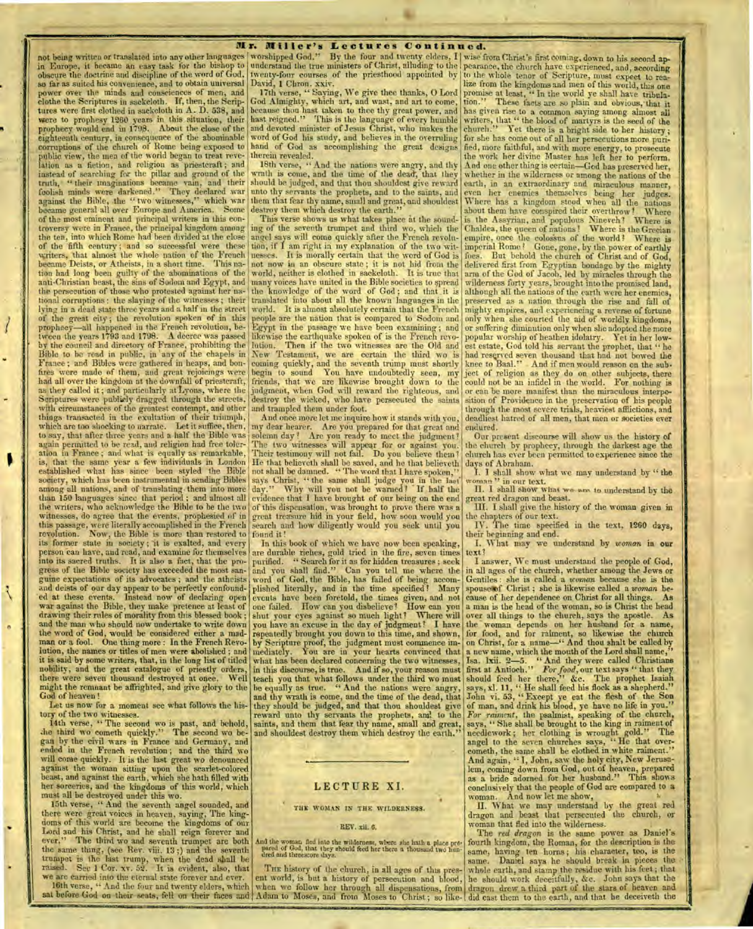**Mr. Miller's Lectures Continued.**<br>not being written or translated into any other languages worshipped God." By the four and twenty elders. I wise fi not being written or translated into any other languages worshipped God." By the four and twenty elders, I wise from Christ's first coming, down to his second ap-<br>in Europe, it became an easy task for the bishop to underst obscure the doctrine and discipline of the word of God, so far as suited his convenience, and to obtain universal power over the minds and consciences of men, and power over the minds and consciences of men, and 17th verse, "Saying, We give thee thanks, O Lord promise at least, "In the world ye shall have tribulaclothe the Scriptures in sackcloth. If, then, the Scriptures were first clothed in sackcloth in A. D. 538, and<br>were to prophesy 1260 years in this situation, their<br>prophecy would end in 1798. About the close of the prophecy would end in 1708. About the close of the and devoted minister of Jesus Christ, who makes the church." Yet there is a bright side to her history; eighteenth century, in consequence of the abominable word of God his study, and believes in the overruling for she has come out of all her persecutions more purieighteenth century, in consequence of the abominable word of God his study, and believes in the overruling for she has come out of all her persecutions more puricorruptions of the church of Rome being exposed to hand of Go lation as a fiction, and religion as priestcraft; and instead of searching for the pillar and ground of the truth, " their imaginations became vain, and their foolish minds were darkened." They declared war foolish minds were darkened." They declared war unto thy servants the prophets, and to the saints, and even her enemics themselves being her judges.<br>against the Bible, the "two witnesses," which war them that fear thy name became general all over Europe and America. Some destroy them which destroy the earth." about them have conspired their overthrow! Where of the most eminent and principal writers in this con-<br>troversy were in France, the principal kingdom among ing of the seventh trumpet and third wo, which the Chaldea, the queen of nations! Where is the Grecian troversy were in France, the principal kingdom among ing of the seventh trumpet and third wo, which the Chaldea, the queen of nations! Where is the Grecian<br>the ten, into which Rome had been divided at the close angel says writers, that almost the whole nation of the French became Deists, or Atheists, in a short time. This nabecame Deists, or Atheists, in a short time. tion had long been guilty of the abominations of the anti-Christian beast, the sins of Sodom and Egypt, and the persecution of those who protested against her national corruptions : the slaying of the witnesses ; their of the great city; the revolution spoken of in this prophecy—all happened in the French revolution, be-tween the years 1793 and 1798. A decree was passed by the council and directory of France, prohibiting the lution. Then if the two witnesses are the Old and Bible to be read in public, in any of the chapels in New Testament, we are certain the third wo is Bible to be read in public, in any of the chapels in New Testament, we are certain the third wo is had reserved seven thousand that had not bowed the France; and Bibles were gathered in heaps, and bon- coming quickly, and the seventh trump must shortly knee to Baal." And if men would reason on the subfires were made of them, and great rejoicings were begin to sound You have undoubtedly seen, my ject of religion as they do on other subjects, there had all over the kingdom at the downfall of priesteraft as they called it; and particularly at Lyons, where the Scriptures were publicly dragged through the streets, with circumstances of the greatest contempt, and other things transacted in the exultation of their triumph, which are too shocking to narrate. Let it suffice, then, to say, that after three years and a half the Bible was again permitted to be read, and religion had free toler- The two witnesses will appear for or against you. the church by prophecy, through the darkest age the ation in France; and what is equally as remarkable, Their testi ation in France ; and what is equally as remarkable, is, that the same year a few individuals in London is, that the same year a few individuals in London He that believeth shall be saved, and he that believeth days of Abraham.<br>established what has since been styled the Bible not shall be damned. "The word that I have spoken society, which has been instrumental in sending Bibles says Christ, "the same shall judge you in the last woman" in our text.<br>among all nations, and of translating them into more day." Why will you not be warned? If half t among all nations, and of translating them into more day." Why will you not be warned? If half the II. I shall show what we see to understand by the than 150 languages since that period; and almost all evidence that I have the writers, who acknowledge the Bible to be the two of this dispensation, was brought to prove there was a witnesses, do agree that the events, prophesied of in great treasure hid in your field, how soon would you this passage, were literally accomplished in the French revolution. Now, the Bible is more than restored to its former state in society; it is exalted, and every person can have, and read, and examine for themselves into its sacred truths. It is also a fact, that the progress of the Bible society has exceeded the most san-<br>guine expectations of its advocates; and the atheists guine expectations of its advocates ; and the atheists word of God, the Bible, has failed Of being accom- Gentiles : she is called a *woman* because she is the and deists of our day appear to be perfectly confound- plished literally, and in the time specified? Many spouse of Christ; she is likewise called a *woman* beand deists of our day appear to be perfectly confound- plished literally, and in the time specified! Many spouse of Christ; she is likewise called a woman be-<br>ed at these events. Instead now of declaring open events have b war against the Bible, they make pretence at least of one failed. How can you disbelieve? How can you a man is the head of the woman, so is Christ the head drawing their rules of morality from this blessed book; shut your drawing their rules of morality from this blessed book ; shut your eyes against so much light? Where will over all things to the church, says the apostle. As and the man who should now undertake to write down the word of God, would he considered either a madman or a fool. One thing more : In the French Revo-<br>lution, the names or titles of men were abolished ; and man or a fool. One thing more: In the French Revo- by Scripture proof, the judgment must commence im- on Christ, for a name-" And thou shall be called by lution, the names or titles of men were abolished ; and mediately. Y it is said by some writers, that, in the long list of titled nobility, and the great catalogue of priestly orders, there were seven thousand destroyed at once. Well<br>might the remnant be affrighted, and give glory to the might the remnant be affrighted, and *give* glory to the he equally as true. " And the nations were angry, says, xl. 11, " He shall feed his flock as a shepherd."

tory of the two witnesses.

14th verse, " The second wo is past, and behold, .he third wo cometh quickly." The second wo be- and shouldest destroy them which destroy the earth." needlework ; her clothing is wrought gold." The gan by the civil wars in France and Germany, and angel to the seven churches says, "He that overended in the French revolution; and the third wo cometh, the same shall be clothed in white raiment." will come quickly. It is the last great wo denounced .. And again, " I, John, saw the holy city, New Jerusaagainst the woman sitting upon the scarlet-colored comments are all the scarlet-colored hem, coming down from God, out of heaven, prepared heast, and against the earth, which she hath filled with as a bride adorned for her against the woman sitting upon the scarlet-colored<br>beast, and against the earth, which she hath filled with<br>her sorceries, and the kingdoms of this world, which<br>must all be destroyed under this wo.<br>must all be destroyed un must all be destroyed under this wo.

15th verse, " And the seventh angel sounded, and there were great voices in heaven, saying, The kingdoms of this world are become the kingdoms of our REV. xii. 6. REV. xii. 6. world into the shall reign forever and Lord and his Christ, and he shall reign forever and **The** *red dragon* is the same power as Daniel's ever." The red dragon is the same power as Daniel's ever." " The third wo and seventh trumpet are both the same thing, (see Rev. viii. 13 ;) and the seventh trumpet is the last trump, when the dead shall be

twenty-four courses of the priesthood appointed by

David, 1 Chron. xxiv.<br>17th verse, "Saying, We give thee thanks, O Lord God Almighty, which art, and west, and art to come, because thou hast taken to thee thy great power, and<br>hast reigned." This is the language of every humble hast reigned." This is the language of every humble writers, that " the blood of martyrs is the seed of the<br>and devoted minister of Jesus Christ, who makes the church." Yet there is a bright side to ber history.

18th verse, " And the nations were angry, and thy wrath is come, and the time of the dead', that they should be judged, and that thou shouldest give reward unto thy servants the prophets, and to the saints, and them that fear thy name, small and great, and shouldest

tion, if I am right in my explanation of the two witnesses. It is morally certain that the word of God is not now in an obscure state; it is not hid from the world, neither is clothed in sackeloth. It is true that world, neither is clothed in sackcloth. many voices have united in the Bible societies to spread the knowledge of the word of God; and that it is knowledge of the word of God; and that it is translated into about all the known' languages in the people are the nation that is compared to Sodom and Egypt in the passage we have been examining; and likewise the earthquake spoken of is the French revolikewise the earthquake spoken of is the French revo- popular worship of heathen idolatry. Yet in her low-<br>lution. Then if the two witnesses are the Old and est estate, God told his servant the prophet, that "he begin to sound You have undoubtedly seen, my friends, that we are likewise brought down to the judgment, when God will reward the righteous, and destroy the wicked, who have persecuted the saints and trampled them under foot.

And once more let me inquire how it stands with you, my dear hearer. Are you prepared for that great and solemn day? Are you ready to meet the judgment? He that believeth shall be saved, and he that believeth not shall be damned. "The word that I have spoken." great treasure hid in your field, how soon would you search and how diligently would you seek until you found it !

In this book of which we have now been speaking, are durable riches, gold tried in the fire, seven times purified. " Search for it as for hidden treasures ; seek and you shall find.". Can you tell me where the you have an excuse in the day of judgment? I have repeatedly brought you down to this time, and shown, mediately. You are in your hearts convinced that what has been declared concerning the two witnesses, in this discourse, is true. And if so, your reason must teach you that what follows under the third wo must od of heaven! In a moment see what follows the his- and thy wrath is come, and the time of the dead, that John vi. 53, "Except ye eat the flesh of the Society and the society of man, and drink his blood, ye have no life in reward unto thy servants the prophets, and to the saints, and them that fear thy name, small and great, and shouldest destroy them which destroy the earth."

### **TILE WOMAN IN THE WILDERNESS.**

•

And the woman fled into the wilderness, where she hath a place **pre,**  pared of God, that they should feed her there a thousand two **hun-** died and threescore days.

we are carried into the eternal state forever and ever. ent world, is but a history of persecution and blood, 16th verse, " And the four and twenty elders, which when we follow her through all dispensations, from ent world, is but a history of persecution and blood, he should work deceitfully, &c. John says that the<br>when we follow her through all dispensations, from dragon drew a third part of the stars of heaven and

understand the true ministers of Christ, alluding to the pearance, the church have experienced, and, according to the whole tenor of Scripture, must expect to *rea*lize from the kingdoms and men of this world, this one tion." These facts are so plain and obvious, that it has given rise to a common saying among almost all the work her divine Master has left her to perform. And one other thing is certain—God has preserved her, whether in the wilderness or among the nations of the earth, in an extraordinary and miraculous manner, foes. But behold the church of Christ and of God, delivered first from Egyptian bondage by the mighty arm of the God of Jacob, led by miracles through the wilderness forty years, brought into the promised land, although all the nations of the earth were her enemies, preserved as a nation through the rise and fall of mighty empires, and experiencing a reverse of fortune only when she courted the aid of worldly kingdoms, or suffering diminution only when she adopted the more could not be an infidel in the world. For nothing is or can be more manifest than the miraculous interposition of Providence in the preservation of his people through the most severe trials, heaviest afflictions, and deadliest hatred of all men, that men or societies ever endured.

> Our present discourse will show us the history of the church by prophecy, through the darkest age the church has ever been permitted to experience since the<br>days of Abraham.

the chapters of our text. IV. The time specified in the text, 1260 days,

their beginning and end.

I. What may we understand by *woman* in our text?

I answer, We must understand the people of God, in all ages of the church, whether among the Jews or<br>Gentiles: she is called a *woman* because she is the the woman depends on her husband for a name, for food, and for raiment, so likewise the church on Christ, for a name—" And thou shalt be called by Isa. lxii. 2-5. " And they were called Christians first at Antioch." *For food,* our text says " that they should feed her there," &c. The prophet Isaiah God of heaven! and thy wrath is come, and the time of the dead, that John vi. 53, "Except ye eat the flesh of the Son *For raiment,* the psalmist, speaking of the church, says, " She shall be brought to the king in raiment of And now let me show,

H. What we may understand by the great red dragon and beast that persecuted the church, or woman that fled into the wilderness.

fourth kingdom, the Roman, for the description is the same, having ten horns; his character, too, is the same. Daniel says he should break in pieces the Daniel says he should break in pieces the raised. Sec 1 Cor. xv. 52. It is evident, also, that THE history of the church, in all ages of this pres- whale earth, and stamp the residue with his feet; that folh verse, " And the four and twenty elders, which when we follow her through all dispensations, from dragon drew a third part of the stars of beaven and sat before God on their seats, fell on their faces and Adam to Mose